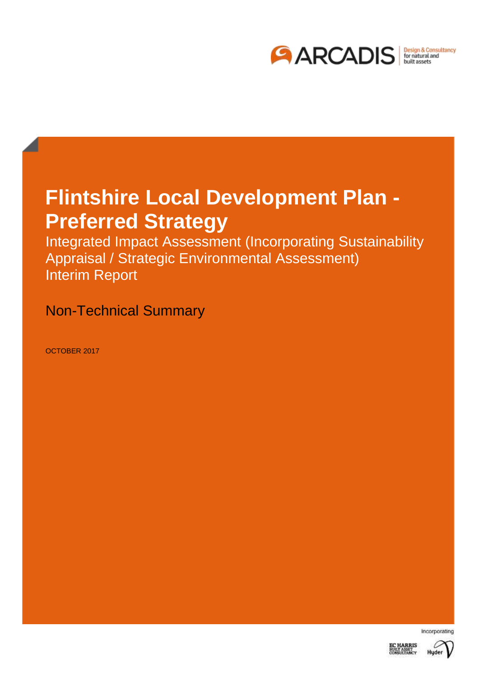

# **Flintshire Local Development Plan - Preferred Strategy**

Integrated Impact Assessment (Incorporating Sustainability Appraisal / Strategic Environmental Assessment) Interim Report

Non-Technical Summary

OCTOBER 2017



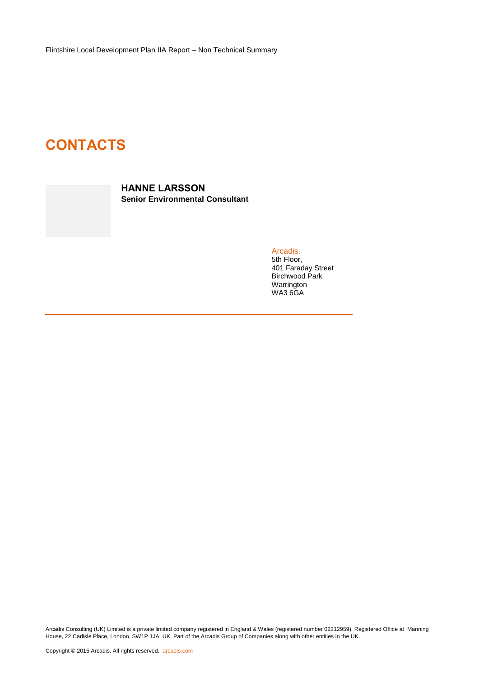Flintshire Local Development Plan IIA Report – Non Technical Summary

# **CONTACTS**

**HANNE LARSSON Senior Environmental Consultant**

> Arcadis. 5th Floor, 401 Faraday Street Birchwood Park Warrington WA3 6GA

Arcadis Consulting (UK) Limited is a private limited company registered in England & Wales (registered number 02212959). Registered Office at Manning House, 22 Carlisle Place, London, SW1P 1JA, UK. Part of the Arcadis Group of Companies along with other entities in the UK.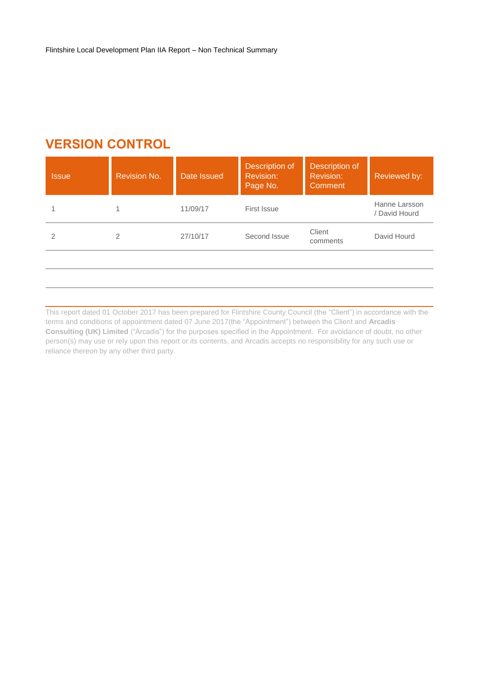## **VERSION CONTROL**

| Page No.     | Comment       |
|--------------|---------------|
| 11/09/17     | Hanne Larsson |
| First Issue  | / David Hourd |
| 27/10/17     | Client        |
| Second Issue | David Hourd   |
| 2            | comments      |

This report dated 01 October 2017 has been prepared for Flintshire County Council (the "Client") in accordance with the terms and conditions of appointment dated 07 June 2017(the "Appointment") between the Client and **Arcadis Consulting (UK) Limited** ("Arcadis") for the purposes specified in the Appointment. For avoidance of doubt, no other person(s) may use or rely upon this report or its contents, and Arcadis accepts no responsibility for any such use or reliance thereon by any other third party.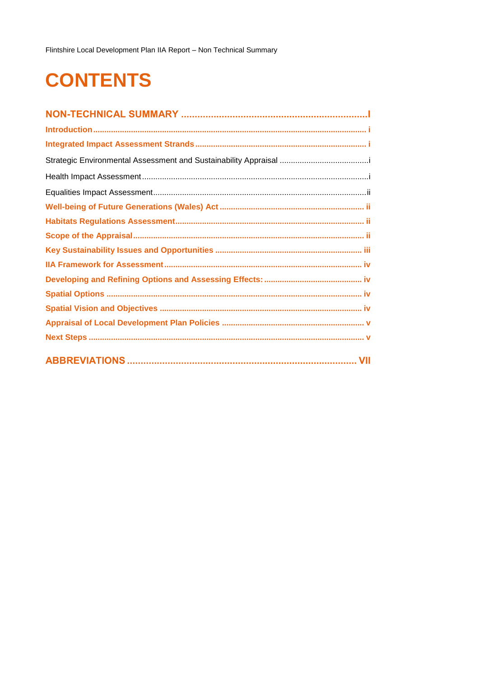Flintshire Local Development Plan IIA Report - Non Technical Summary

# **CONTENTS**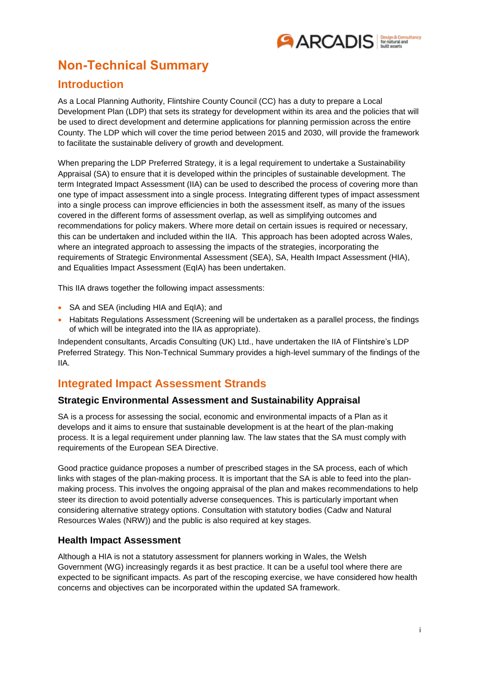

## <span id="page-4-0"></span>**Non-Technical Summary**

### <span id="page-4-1"></span>**Introduction**

As a Local Planning Authority, Flintshire County Council (CC) has a duty to prepare a Local Development Plan (LDP) that sets its strategy for development within its area and the policies that will be used to direct development and determine applications for planning permission across the entire County. The LDP which will cover the time period between 2015 and 2030, will provide the framework to facilitate the sustainable delivery of growth and development.

When preparing the LDP Preferred Strategy, it is a legal requirement to undertake a Sustainability Appraisal (SA) to ensure that it is developed within the principles of sustainable development. The term Integrated Impact Assessment (IIA) can be used to described the process of covering more than one type of impact assessment into a single process. Integrating different types of impact assessment into a single process can improve efficiencies in both the assessment itself, as many of the issues covered in the different forms of assessment overlap, as well as simplifying outcomes and recommendations for policy makers. Where more detail on certain issues is required or necessary, this can be undertaken and included within the IIA. This approach has been adopted across Wales, where an integrated approach to assessing the impacts of the strategies, incorporating the requirements of Strategic Environmental Assessment (SEA), SA, Health Impact Assessment (HIA), and Equalities Impact Assessment (EqIA) has been undertaken.

This IIA draws together the following impact assessments:

- SA and SEA (including HIA and EqIA): and
- Habitats Regulations Assessment (Screening will be undertaken as a parallel process, the findings of which will be integrated into the IIA as appropriate).

Independent consultants, Arcadis Consulting (UK) Ltd., have undertaken the IIA of Flintshire's LDP Preferred Strategy. This Non-Technical Summary provides a high-level summary of the findings of the IIA.

#### <span id="page-4-2"></span>**Integrated Impact Assessment Strands**

#### <span id="page-4-3"></span>**Strategic Environmental Assessment and Sustainability Appraisal**

SA is a process for assessing the social, economic and environmental impacts of a Plan as it develops and it aims to ensure that sustainable development is at the heart of the plan-making process. It is a legal requirement under planning law. The law states that the SA must comply with requirements of the European SEA Directive.

Good practice guidance proposes a number of prescribed stages in the SA process, each of which links with stages of the plan-making process. It is important that the SA is able to feed into the planmaking process. This involves the ongoing appraisal of the plan and makes recommendations to help steer its direction to avoid potentially adverse consequences. This is particularly important when considering alternative strategy options. Consultation with statutory bodies (Cadw and Natural Resources Wales (NRW)) and the public is also required at key stages.

#### <span id="page-4-4"></span>**Health Impact Assessment**

<span id="page-4-5"></span>Although a HIA is not a statutory assessment for planners working in Wales, the Welsh Government (WG) increasingly regards it as best practice. It can be a useful tool where there are expected to be significant impacts. As part of the rescoping exercise, we have considered how health concerns and objectives can be incorporated within the updated SA framework.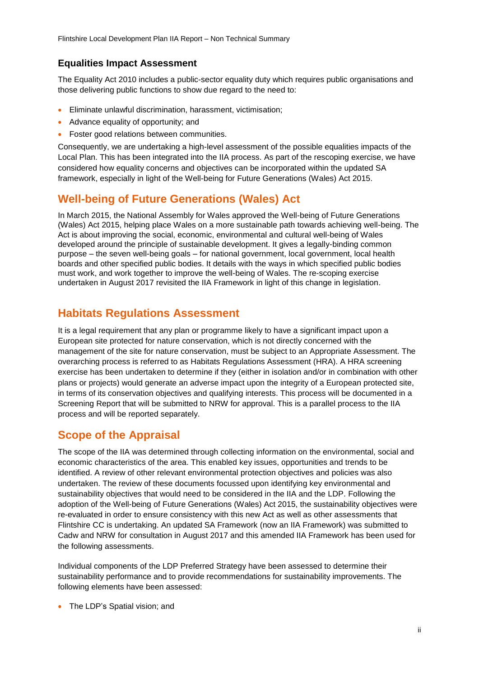#### **Equalities Impact Assessment**

The Equality Act 2010 includes a public-sector equality duty which requires public organisations and those delivering public functions to show due regard to the need to:

- Eliminate unlawful discrimination, harassment, victimisation;
- Advance equality of opportunity; and
- Foster good relations between communities.

Consequently, we are undertaking a high-level assessment of the possible equalities impacts of the Local Plan. This has been integrated into the IIA process. As part of the rescoping exercise, we have considered how equality concerns and objectives can be incorporated within the updated SA framework, especially in light of the Well-being for Future Generations (Wales) Act 2015.

#### <span id="page-5-0"></span>**Well-being of Future Generations (Wales) Act**

In March 2015, the National Assembly for Wales approved the Well-being of Future Generations (Wales) Act 2015, helping place Wales on a more sustainable path towards achieving well-being. The Act is about improving the social, economic, environmental and cultural well-being of Wales developed around the principle of sustainable development. It gives a legally-binding common purpose – the seven well-being goals – for national government, local government, local health boards and other specified public bodies. It details with the ways in which specified public bodies must work, and work together to improve the well-being of Wales. The re-scoping exercise undertaken in August 2017 revisited the IIA Framework in light of this change in legislation.

#### <span id="page-5-1"></span>**Habitats Regulations Assessment**

It is a legal requirement that any plan or programme likely to have a significant impact upon a European site protected for nature conservation, which is not directly concerned with the management of the site for nature conservation, must be subject to an Appropriate Assessment. The overarching process is referred to as Habitats Regulations Assessment (HRA). A HRA screening exercise has been undertaken to determine if they (either in isolation and/or in combination with other plans or projects) would generate an adverse impact upon the integrity of a European protected site, in terms of its conservation objectives and qualifying interests. This process will be documented in a Screening Report that will be submitted to NRW for approval. This is a parallel process to the IIA process and will be reported separately.

#### <span id="page-5-2"></span>**Scope of the Appraisal**

The scope of the IIA was determined through collecting information on the environmental, social and economic characteristics of the area. This enabled key issues, opportunities and trends to be identified. A review of other relevant environmental protection objectives and policies was also undertaken. The review of these documents focussed upon identifying key environmental and sustainability objectives that would need to be considered in the IIA and the LDP. Following the adoption of the Well-being of Future Generations (Wales) Act 2015, the sustainability objectives were re-evaluated in order to ensure consistency with this new Act as well as other assessments that Flintshire CC is undertaking. An updated SA Framework (now an IIA Framework) was submitted to Cadw and NRW for consultation in August 2017 and this amended IIA Framework has been used for the following assessments.

Individual components of the LDP Preferred Strategy have been assessed to determine their sustainability performance and to provide recommendations for sustainability improvements. The following elements have been assessed:

• The LDP's Spatial vision; and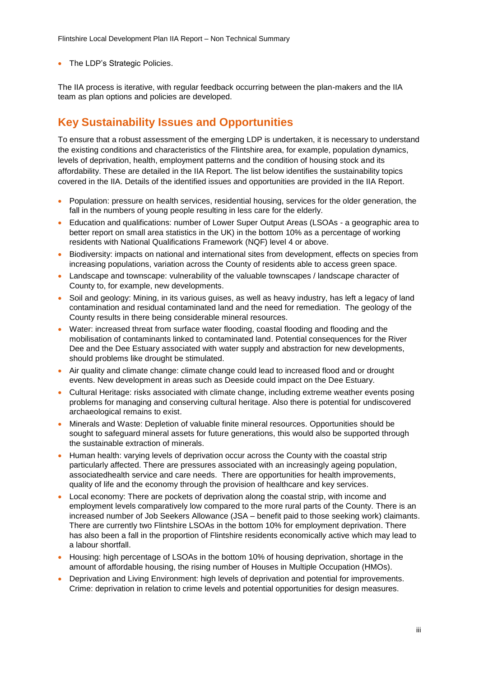• The LDP's Strategic Policies.

The IIA process is iterative, with regular feedback occurring between the plan-makers and the IIA team as plan options and policies are developed.

## <span id="page-6-0"></span>**Key Sustainability Issues and Opportunities**

To ensure that a robust assessment of the emerging LDP is undertaken, it is necessary to understand the existing conditions and characteristics of the Flintshire area, for example, population dynamics, levels of deprivation, health, employment patterns and the condition of housing stock and its affordability. These are detailed in the IIA Report. The list below identifies the sustainability topics covered in the IIA. Details of the identified issues and opportunities are provided in the IIA Report.

- Population: pressure on health services, residential housing, services for the older generation, the fall in the numbers of young people resulting in less care for the elderly.
- Education and qualifications: number of Lower Super Output Areas (LSOAs a geographic area to better report on small area statistics in the UK) in the bottom 10% as a percentage of working residents with National Qualifications Framework (NQF) level 4 or above.
- Biodiversity: impacts on national and international sites from development, effects on species from increasing populations, variation across the County of residents able to access green space.
- Landscape and townscape: vulnerability of the valuable townscapes / landscape character of County to, for example, new developments.
- Soil and geology: Mining, in its various guises, as well as heavy industry, has left a legacy of land contamination and residual contaminated land and the need for remediation. The geology of the County results in there being considerable mineral resources.
- Water: increased threat from surface water flooding, coastal flooding and flooding and the mobilisation of contaminants linked to contaminated land. Potential consequences for the River Dee and the Dee Estuary associated with water supply and abstraction for new developments, should problems like drought be stimulated.
- Air quality and climate change: climate change could lead to increased flood and or drought events. New development in areas such as Deeside could impact on the Dee Estuary.
- Cultural Heritage: risks associated with climate change, including extreme weather events posing problems for managing and conserving cultural heritage. Also there is potential for undiscovered archaeological remains to exist.
- Minerals and Waste: Depletion of valuable finite mineral resources. Opportunities should be sought to safeguard mineral assets for future generations, this would also be supported through the sustainable extraction of minerals.
- Human health: varying levels of deprivation occur across the County with the coastal strip particularly affected. There are pressures associated with an increasingly ageing population, associatedhealth service and care needs. There are opportunities for health improvements, quality of life and the economy through the provision of healthcare and key services.
- Local economy: There are pockets of deprivation along the coastal strip, with income and employment levels comparatively low compared to the more rural parts of the County. There is an increased number of Job Seekers Allowance (JSA – benefit paid to those seeking work) claimants. There are currently two Flintshire LSOAs in the bottom 10% for employment deprivation. There has also been a fall in the proportion of Flintshire residents economically active which may lead to a labour shortfall.
- Housing: high percentage of LSOAs in the bottom 10% of housing deprivation, shortage in the amount of affordable housing, the rising number of Houses in Multiple Occupation (HMOs).
- Deprivation and Living Environment: high levels of deprivation and potential for improvements. Crime: deprivation in relation to crime levels and potential opportunities for design measures.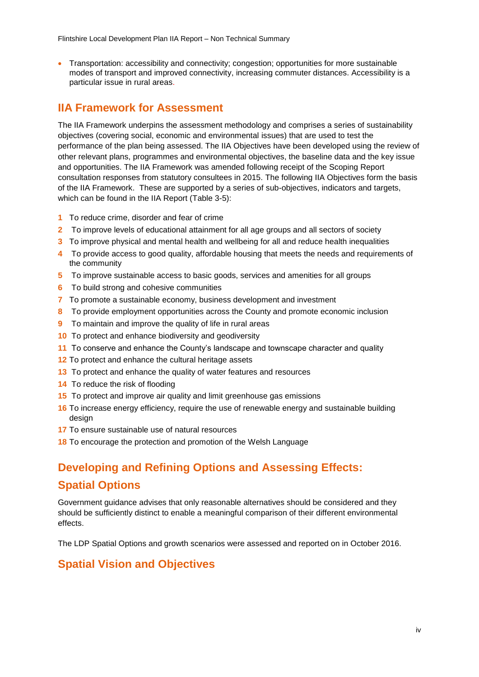Flintshire Local Development Plan IIA Report – Non Technical Summary

 Transportation: accessibility and connectivity; congestion; opportunities for more sustainable modes of transport and improved connectivity, increasing commuter distances. Accessibility is a particular issue in rural areas.

## <span id="page-7-0"></span>**IIA Framework for Assessment**

The IIA Framework underpins the assessment methodology and comprises a series of sustainability objectives (covering social, economic and environmental issues) that are used to test the performance of the plan being assessed. The IIA Objectives have been developed using the review of other relevant plans, programmes and environmental objectives, the baseline data and the key issue and opportunities. The IIA Framework was amended following receipt of the Scoping Report consultation responses from statutory consultees in 2015. The following IIA Objectives form the basis of the IIA Framework. These are supported by a series of sub-objectives, indicators and targets, which can be found in the IIA Report (Table 3-5):

- **1** To reduce crime, disorder and fear of crime
- **2** To improve levels of educational attainment for all age groups and all sectors of society
- **3** To improve physical and mental health and wellbeing for all and reduce health inequalities
- **4** To provide access to good quality, affordable housing that meets the needs and requirements of the community
- **5** To improve sustainable access to basic goods, services and amenities for all groups
- **6** To build strong and cohesive communities
- **7** To promote a sustainable economy, business development and investment
- **8** To provide employment opportunities across the County and promote economic inclusion
- **9** To maintain and improve the quality of life in rural areas
- **10** To protect and enhance biodiversity and geodiversity
- **11** To conserve and enhance the County's landscape and townscape character and quality
- **12** To protect and enhance the cultural heritage assets
- **13** To protect and enhance the quality of water features and resources
- **14** To reduce the risk of flooding
- **15** To protect and improve air quality and limit greenhouse gas emissions
- **16** To increase energy efficiency, require the use of renewable energy and sustainable building design
- **17** To ensure sustainable use of natural resources
- **18** To encourage the protection and promotion of the Welsh Language

# <span id="page-7-2"></span><span id="page-7-1"></span>**Developing and Refining Options and Assessing Effects: Spatial Options**

Government guidance advises that only reasonable alternatives should be considered and they should be sufficiently distinct to enable a meaningful comparison of their different environmental effects.

The LDP Spatial Options and growth scenarios were assessed and reported on in October 2016.

#### <span id="page-7-3"></span>**Spatial Vision and Objectives**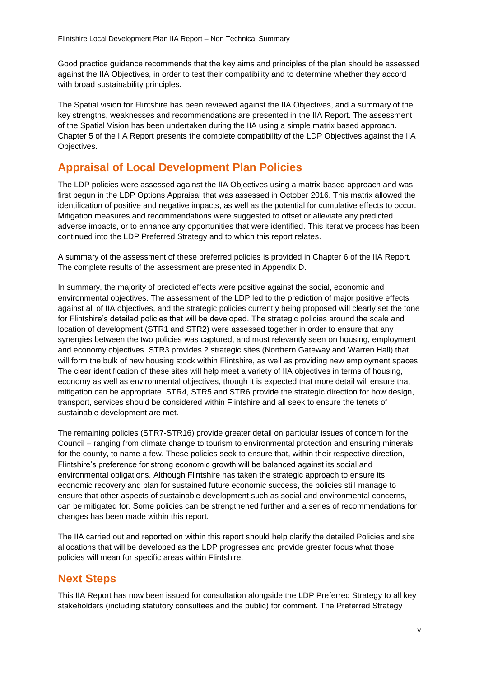Good practice guidance recommends that the key aims and principles of the plan should be assessed against the IIA Objectives, in order to test their compatibility and to determine whether they accord with broad sustainability principles.

The Spatial vision for Flintshire has been reviewed against the IIA Objectives, and a summary of the key strengths, weaknesses and recommendations are presented in the IIA Report. The assessment of the Spatial Vision has been undertaken during the IIA using a simple matrix based approach. Chapter 5 of the IIA Report presents the complete compatibility of the LDP Objectives against the IIA Objectives.

## <span id="page-8-0"></span>**Appraisal of Local Development Plan Policies**

The LDP policies were assessed against the IIA Objectives using a matrix-based approach and was first begun in the LDP Options Appraisal that was assessed in October 2016. This matrix allowed the identification of positive and negative impacts, as well as the potential for cumulative effects to occur. Mitigation measures and recommendations were suggested to offset or alleviate any predicted adverse impacts, or to enhance any opportunities that were identified. This iterative process has been continued into the LDP Preferred Strategy and to which this report relates.

A summary of the assessment of these preferred policies is provided in Chapter 6 of the IIA Report. The complete results of the assessment are presented in Appendix D.

In summary, the majority of predicted effects were positive against the social, economic and environmental objectives. The assessment of the LDP led to the prediction of major positive effects against all of IIA objectives, and the strategic policies currently being proposed will clearly set the tone for Flintshire's detailed policies that will be developed. The strategic policies around the scale and location of development (STR1 and STR2) were assessed together in order to ensure that any synergies between the two policies was captured, and most relevantly seen on housing, employment and economy objectives. STR3 provides 2 strategic sites (Northern Gateway and Warren Hall) that will form the bulk of new housing stock within Flintshire, as well as providing new employment spaces. The clear identification of these sites will help meet a variety of IIA objectives in terms of housing, economy as well as environmental objectives, though it is expected that more detail will ensure that mitigation can be appropriate. STR4, STR5 and STR6 provide the strategic direction for how design, transport, services should be considered within Flintshire and all seek to ensure the tenets of sustainable development are met.

The remaining policies (STR7-STR16) provide greater detail on particular issues of concern for the Council – ranging from climate change to tourism to environmental protection and ensuring minerals for the county, to name a few. These policies seek to ensure that, within their respective direction, Flintshire's preference for strong economic growth will be balanced against its social and environmental obligations. Although Flintshire has taken the strategic approach to ensure its economic recovery and plan for sustained future economic success, the policies still manage to ensure that other aspects of sustainable development such as social and environmental concerns, can be mitigated for. Some policies can be strengthened further and a series of recommendations for changes has been made within this report.

The IIA carried out and reported on within this report should help clarify the detailed Policies and site allocations that will be developed as the LDP progresses and provide greater focus what those policies will mean for specific areas within Flintshire.

#### <span id="page-8-1"></span>**Next Steps**

This IIA Report has now been issued for consultation alongside the LDP Preferred Strategy to all key stakeholders (including statutory consultees and the public) for comment. The Preferred Strategy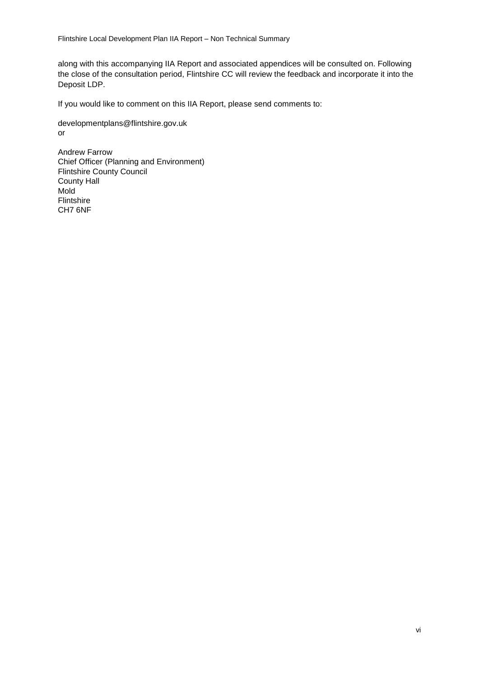Flintshire Local Development Plan IIA Report – Non Technical Summary

along with this accompanying IIA Report and associated appendices will be consulted on. Following the close of the consultation period, Flintshire CC will review the feedback and incorporate it into the Deposit LDP.

If you would like to comment on this IIA Report, please send comments to:

developmentplans@flintshire.gov.uk or

Andrew Farrow Chief Officer (Planning and Environment) Flintshire County Council County Hall Mold Flintshire CH7 6NF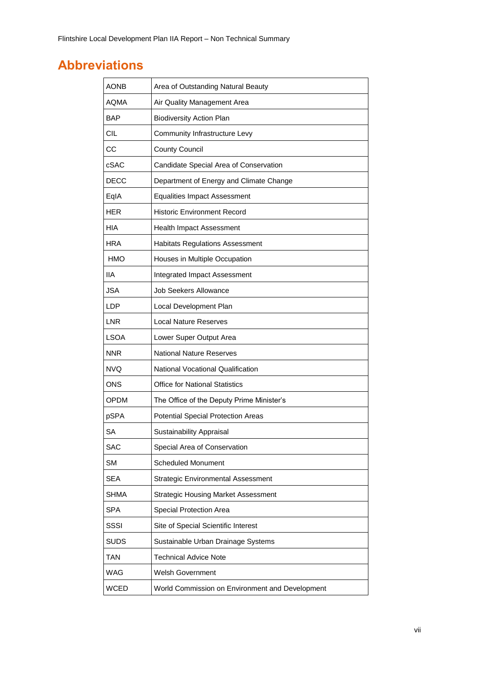## <span id="page-10-0"></span>**Abbreviations**

| <b>AONB</b> | Area of Outstanding Natural Beauty              |
|-------------|-------------------------------------------------|
| AQMA        | Air Quality Management Area                     |
| BAP         | <b>Biodiversity Action Plan</b>                 |
| <b>CIL</b>  | Community Infrastructure Levy                   |
| CС          | <b>County Council</b>                           |
| cSAC        | Candidate Special Area of Conservation          |
| <b>DECC</b> | Department of Energy and Climate Change         |
| EqIA        | <b>Equalities Impact Assessment</b>             |
| <b>HER</b>  | <b>Historic Environment Record</b>              |
| HIA         | <b>Health Impact Assessment</b>                 |
| <b>HRA</b>  | <b>Habitats Regulations Assessment</b>          |
| <b>HMO</b>  | Houses in Multiple Occupation                   |
| IIA         | Integrated Impact Assessment                    |
| <b>JSA</b>  | <b>Job Seekers Allowance</b>                    |
| LDP         | Local Development Plan                          |
| <b>LNR</b>  | <b>Local Nature Reserves</b>                    |
| <b>LSOA</b> | Lower Super Output Area                         |
| <b>NNR</b>  | <b>National Nature Reserves</b>                 |
| <b>NVQ</b>  | National Vocational Qualification               |
| <b>ONS</b>  | <b>Office for National Statistics</b>           |
| OPDM        | The Office of the Deputy Prime Minister's       |
| pSPA        | <b>Potential Special Protection Areas</b>       |
| <b>SA</b>   | <b>Sustainability Appraisal</b>                 |
| <b>SAC</b>  | Special Area of Conservation                    |
| <b>SM</b>   | <b>Scheduled Monument</b>                       |
| <b>SEA</b>  | <b>Strategic Environmental Assessment</b>       |
| <b>SHMA</b> | <b>Strategic Housing Market Assessment</b>      |
| SPA         | Special Protection Area                         |
| SSSI        | Site of Special Scientific Interest             |
| <b>SUDS</b> | Sustainable Urban Drainage Systems              |
| TAN         | <b>Technical Advice Note</b>                    |
| WAG         | <b>Welsh Government</b>                         |
| <b>WCED</b> | World Commission on Environment and Development |